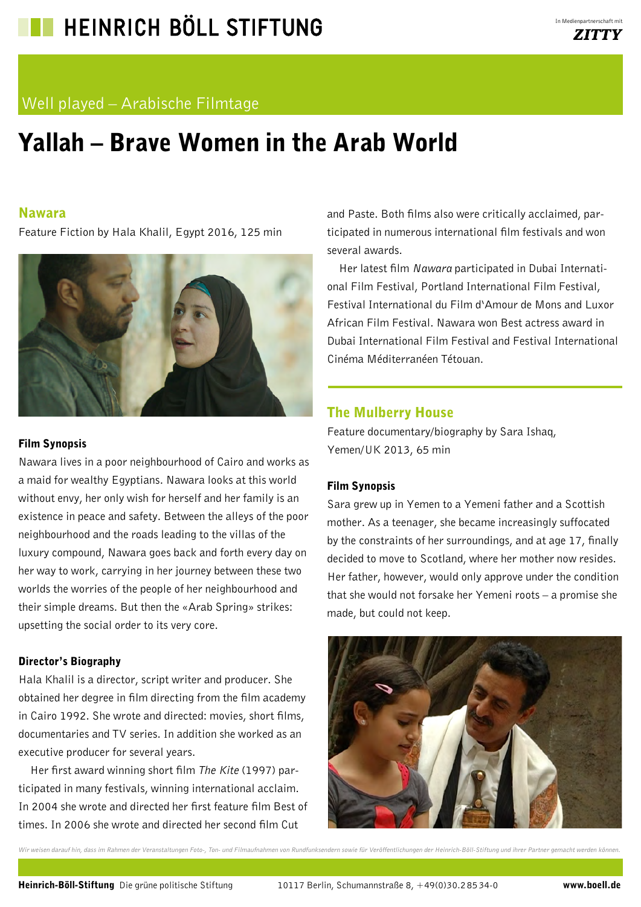## Well played – Arabische Filmtage

# Yallah – Brave Women in the Arab World

#### Nawara

Feature Fiction by Hala Khalil, Egypt 2016, 125 min



#### Film Synopsis

Nawara lives in a poor neighbourhood of Cairo and works as a maid for wealthy Egyptians. Nawara looks at this world without envy, her only wish for herself and her family is an existence in peace and safety. Between the alleys of the poor neighbourhood and the roads leading to the villas of the luxury compound, Nawara goes back and forth every day on her way to work, carrying in her journey between these two worlds the worries of the people of her neighbourhood and their simple dreams. But then the «Arab Spring» strikes: upsetting the social order to its very core.

#### Director's Biography

Hala Khalil is a director, script writer and producer. She obtained her degree in film directing from the film academy in Cairo 1992. She wrote and directed: movies, short films, documentaries and TV series. In addition she worked as an executive producer for several years.

Her first award winning short film *The Kite* (1997) participated in many festivals, winning international acclaim. In 2004 she wrote and directed her first feature film Best of times. In 2006 she wrote and directed her second film Cut

and Paste. Both films also were critically acclaimed, participated in numerous international film festivals and won several awards.

Her latest film *Nawara* participated in Dubai International Film Festival, Portland International Film Festival, Festival International du Film d'Amour de Mons and Luxor African Film Festival. Nawara won Best actress award in Dubai International Film Festival and Festival International Cinéma Méditerranéen Tétouan.

## The Mulberry House

Feature documentary/biography by Sara Ishaq, Yemen/UK 2013, 65 min

#### Film Synopsis

Sara grew up in Yemen to a Yemeni father and a Scottish mother. As a teenager, she became increasingly suffocated by the constraints of her surroundings, and at age 17, finally decided to move to Scotland, where her mother now resides. Her father, however, would only approve under the condition that she would not forsake her Yemeni roots – a promise she made, but could not keep.

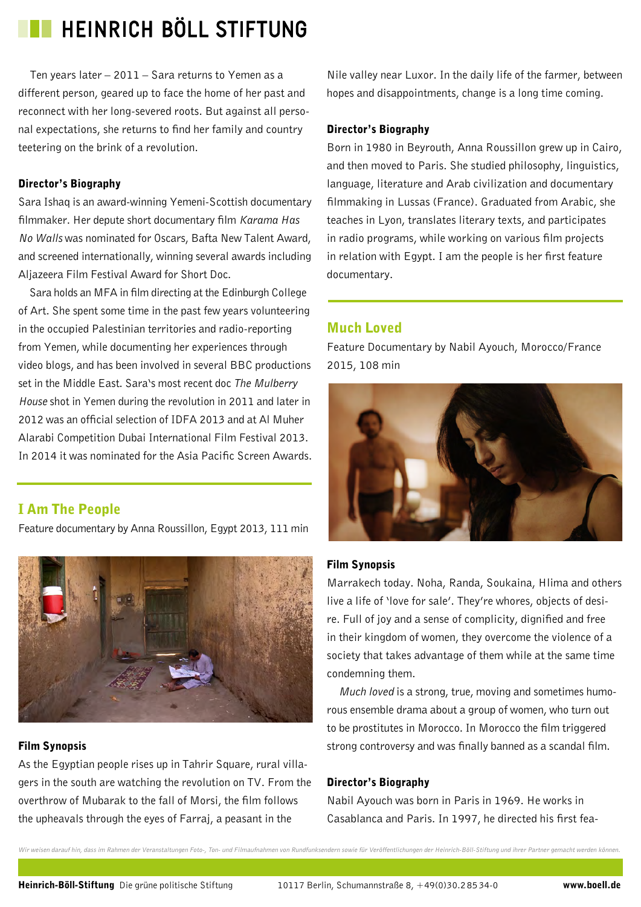Ten years later – 2011 – Sara returns to Yemen as a different person, geared up to face the home of her past and reconnect with her long-severed roots. But against all personal expectations, she returns to find her family and country teetering on the brink of a revolution.

#### Director's Biography

Sara Ishaq is an award-winning Yemeni-Scottish documentary filmmaker. Her depute short documentary film *Karama Has No Walls* was nominated for Oscars, Bafta New Talent Award, and screened internationally, winning several awards including Aljazeera Film Festival Award for Short Doc.

Sara holds an MFA in film directing at the Edinburgh College of Art. She spent some time in the past few years volunteering in the occupied Palestinian territories and radio-reporting from Yemen, while documenting her experiences through video blogs, and has been involved in several BBC productions set in the Middle East. Sara's most recent doc *The Mulberry House* shot in Yemen during the revolution in 2011 and later in 2012 was an official selection of IDFA 2013 and at Al Muher Alarabi Competition Dubai International Film Festival 2013. In 2014 it was nominated for the Asia Pacific Screen Awards.

## I Am The People

Feature documentary by Anna Roussillon, Egypt 2013, 111 min



#### Film Synopsis

As the Egyptian people rises up in Tahrir Square, rural villagers in the south are watching the revolution on TV. From the overthrow of Mubarak to the fall of Morsi, the film follows the upheavals through the eyes of Farraj, a peasant in the

Nile valley near Luxor. In the daily life of the farmer, between hopes and disappointments, change is a long time coming.

#### Director's Biography

Born in 1980 in Beyrouth, Anna Roussillon grew up in Cairo, and then moved to Paris. She studied philosophy, linguistics, language, literature and Arab civilization and documentary filmmaking in Lussas (France). Graduated from Arabic, she teaches in Lyon, translates literary texts, and participates in radio programs, while working on various film projects in relation with Egypt. I am the people is her first feature documentary.

## Much Loved

Feature Documentary by Nabil Ayouch, Morocco/France 2015, 108 min



#### Film Synopsis

Marrakech today. Noha, Randa, Soukaina, Hlima and others live a life of 'love for sale'. They're whores, objects of desire. Full of joy and a sense of complicity, dignified and free in their kingdom of women, they overcome the violence of a society that takes advantage of them while at the same time condemning them.

*Much loved* is a strong, true, moving and sometimes humorous ensemble drama about a group of women, who turn out to be prostitutes in Morocco. In Morocco the film triggered strong controversy and was finally banned as a scandal film.

#### Director's Biography

Nabil Ayouch was born in Paris in 1969. He works in Casablanca and Paris. In 1997, he directed his first fea-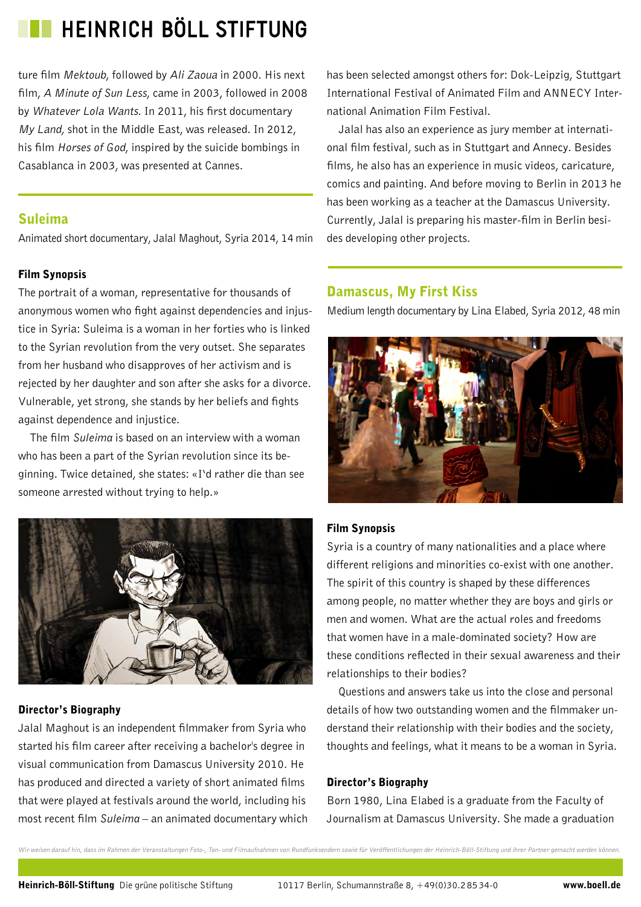ture film Mektoub, followed by Ali Zaoua in 2000. His next film, *A Minute of Sun Less*, came in 2003, followed in 2008 by Whatever Lola Wants. In 2011, his first documentary My Land, shot in the Middle East, was released. In 2012, his film Horses of God, inspired by the suicide bombings in Casablanca in 2003, was presented at Cannes.

### Suleima

Animated short documentary, Jalal Maghout, Syria 2014, 14 min

#### Film Synopsis

The portrait of a woman, representative for thousands of anonymous women who fight against dependencies and injustice in Syria: Suleima is a woman in her forties who is linked to the Syrian revolution from the very outset. She separates from her husband who disapproves of her activism and is rejected by her daughter and son after she asks for a divorce. Vulnerable, yet strong, she stands by her beliefs and fights against dependence and injustice.

The film *Suleima* is based on an interview with a woman who has been a part of the Syrian revolution since its beginning. Twice detained, she states: «I'd rather die than see someone arrested without trying to help.»



#### Director's Biography

Jalal Maghout is an independent filmmaker from Syria who started his film career after receiving a bachelor's degree in visual communication from Damascus University 2010. He has produced and directed a variety of short animated films that were played at festivals around the world, including his most recent film *Suleima* – an animated documentary which has been selected amongst others for: Dok-Leipzig, Stuttgart International Festival of Animated Film and ANNECY International Animation Film Festival.

Jalal has also an experience as jury member at international film festival, such as in Stuttgart and Annecy. Besides films, he also has an experience in music videos, caricature, comics and painting. And before moving to Berlin in 2013 he has been working as a teacher at the Damascus University. Currently, Jalal is preparing his master-film in Berlin besides developing other projects.

### Damascus, My First Kiss

Medium length documentary by Lina Elabed, Syria 2012, 48 min



### Film Synopsis

Syria is a country of many nationalities and a place where different religions and minorities co-exist with one another. The spirit of this country is shaped by these differences among people, no matter whether they are boys and girls or men and women. What are the actual roles and freedoms that women have in a male-dominated society? How are these conditions reflected in their sexual awareness and their relationships to their bodies?

Questions and answers take us into the close and personal details of how two outstanding women and the filmmaker understand their relationship with their bodies and the society, thoughts and feelings, what it means to be a woman in Syria.

#### Director's Biography

Born 1980, Lina Elabed is a graduate from the Faculty of Journalism at Damascus University. She made a graduation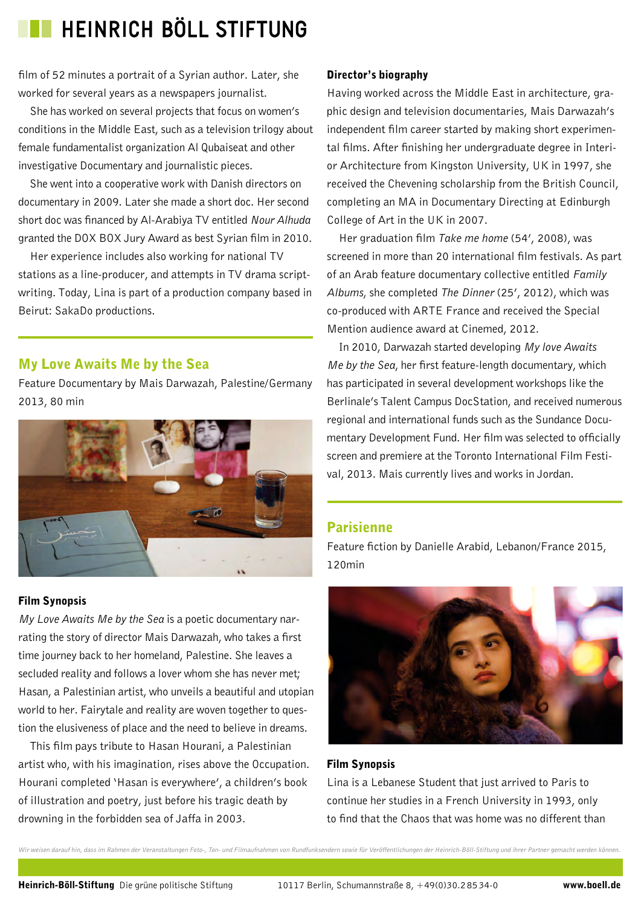film of 52 minutes a portrait of a Syrian author. Later, she worked for several years as a newspapers journalist.

She has worked on several projects that focus on women's conditions in the Middle East, such as a television trilogy about female fundamentalist organization Al Qubaiseat and other investigative Documentary and journalistic pieces.

She went into a cooperative work with Danish directors on documentary in 2009. Later she made a short doc. Her second short doc was financed by Al-Arabiya TV entitled *Nour Alhuda*  granted the DOX BOX Jury Award as best Syrian film in 2010.

Her experience includes also working for national TV stations as a line-producer, and attempts in TV drama scriptwriting. Today, Lina is part of a production company based in Beirut: SakaDo productions.

## My Love Awaits Me by the Sea

Feature Documentary by Mais Darwazah, Palestine/Germany 2013, 80 min



## Film Synopsis

*My Love Awaits Me by the Sea* is a poetic documentary narrating the story of director Mais Darwazah, who takes a first time journey back to her homeland, Palestine. She leaves a secluded reality and follows a lover whom she has never met; Hasan, a Palestinian artist, who unveils a beautiful and utopian world to her. Fairytale and reality are woven together to question the elusiveness of place and the need to believe in dreams.

This film pays tribute to Hasan Hourani, a Palestinian artist who, with his imagination, rises above the Occupation. Hourani completed 'Hasan is everywhere', a children's book of illustration and poetry, just before his tragic death by drowning in the forbidden sea of Jaffa in 2003.

### Director's biography

Having worked across the Middle East in architecture, graphic design and television documentaries, Mais Darwazah's independent film career started by making short experimental films. After finishing her undergraduate degree in Interior Architecture from Kingston University, UK in 1997, she received the Chevening scholarship from the British Council, completing an MA in Documentary Directing at Edinburgh College of Art in the UK in 2007.

Her graduation film *Take me home* (54', 2008), was screened in more than 20 international film festivals. As part of an Arab feature documentary collective entitled *Family Albums*, she completed *The Dinner* (25', 2012), which was co-produced with ARTE France and received the Special Mention audience award at Cinemed, 2012.

In 2010, Darwazah started developing *My love Awaits Me by the Sea*, her first feature-length documentary, which has participated in several development workshops like the Berlinale's Talent Campus DocStation, and received numerous regional and international funds such as the Sundance Documentary Development Fund. Her film was selected to officially screen and premiere at the Toronto International Film Festival, 2013. Mais currently lives and works in Jordan.

## Parisienne

Feature fiction by Danielle Arabid, Lebanon/France 2015, 120min



#### Film Synopsis

Lina is a Lebanese Student that just arrived to Paris to continue her studies in a French University in 1993, only to find that the Chaos that was home was no different than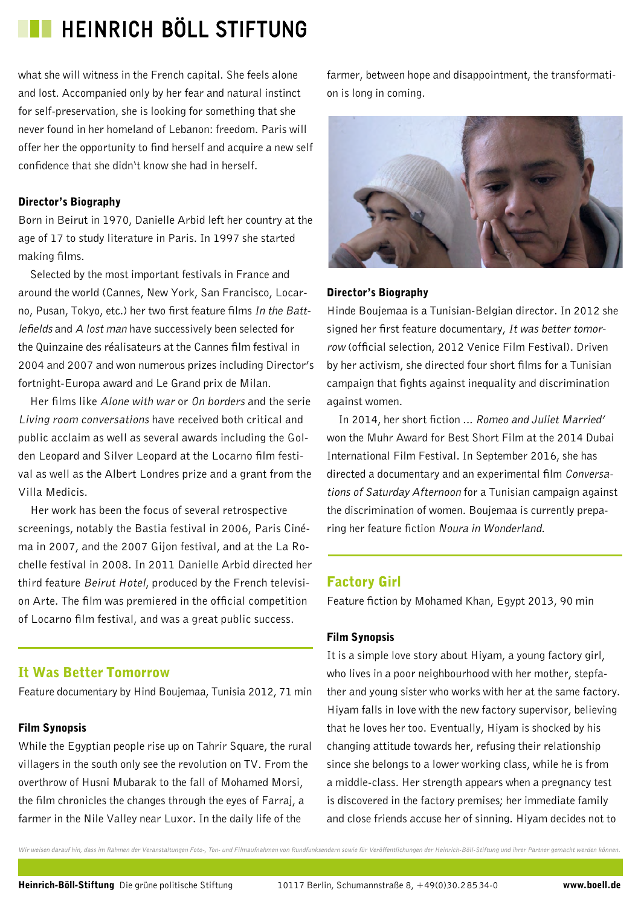what she will witness in the French capital. She feels alone and lost. Accompanied only by her fear and natural instinct for self-preservation, she is looking for something that she never found in her homeland of Lebanon: freedom. Paris will offer her the opportunity to find herself and acquire a new self confidence that she didn't know she had in herself.

### Director's Biography

Born in Beirut in 1970, Danielle Arbid left her country at the age of 17 to study literature in Paris. In 1997 she started making films.

Selected by the most important festivals in France and around the world (Cannes, New York, San Francisco, Locarno, Pusan, Tokyo, etc.) her two first feature films In the Battlefields and A lost man have successively been selected for the Quinzaine des réalisateurs at the Cannes film festival in 2004 and 2007 and won numerous prizes including Director's fortnight-Europa award and Le Grand prix de Milan.

Her films like Alone with war or On borders and the serie Living room conversations have received both critical and public acclaim as well as several awards including the Golden Leopard and Silver Leopard at the Locarno film festival as well as the Albert Londres prize and a grant from the Villa Medicis.

Her work has been the focus of several retrospective screenings, notably the Bastia festival in 2006, Paris Cinéma in 2007, and the 2007 Gijon festival, and at the La Rochelle festival in 2008. In 2011 Danielle Arbid directed her third feature Beirut Hotel, produced by the French television Arte. The film was premiered in the official competition of Locarno film festival, and was a great public success.

## It Was Better Tomorrow

Feature documentary by Hind Boujemaa, Tunisia 2012, 71 min

## Film Synopsis

While the Egyptian people rise up on Tahrir Square, the rural villagers in the south only see the revolution on TV. From the overthrow of Husni Mubarak to the fall of Mohamed Morsi, the film chronicles the changes through the eyes of Farraj, a farmer in the Nile Valley near Luxor. In the daily life of the

farmer, between hope and disappointment, the transformation is long in coming.



### Director's Biography

Hinde Boujemaa is a Tunisian-Belgian director. In 2012 she signed her first feature documentary, It was better tomorrow (official selection, 2012 Venice Film Festival). Driven by her activism, she directed four short films for a Tunisian campaign that fights against inequality and discrimination against women.

In 2014, her short fiction ... Romeo and Juliet Married' won the Muhr Award for Best Short Film at the 2014 Dubai International Film Festival. In September 2016, she has directed a documentary and an experimental film Conversations of Saturday Afternoon for a Tunisian campaign against the discrimination of women. Boujemaa is currently preparing her feature fiction Noura in Wonderland.

## Factory Girl

Feature fiction by Mohamed Khan, Egypt 2013, 90 min

## Film Synopsis

It is a simple love story about Hiyam, a young factory girl, who lives in a poor neighbourhood with her mother, stepfather and young sister who works with her at the same factory. Hiyam falls in love with the new factory supervisor, believing that he loves her too. Eventually, Hiyam is shocked by his changing attitude towards her, refusing their relationship since she belongs to a lower working class, while he is from a middle-class. Her strength appears when a pregnancy test is discovered in the factory premises; her immediate family and close friends accuse her of sinning. Hiyam decides not to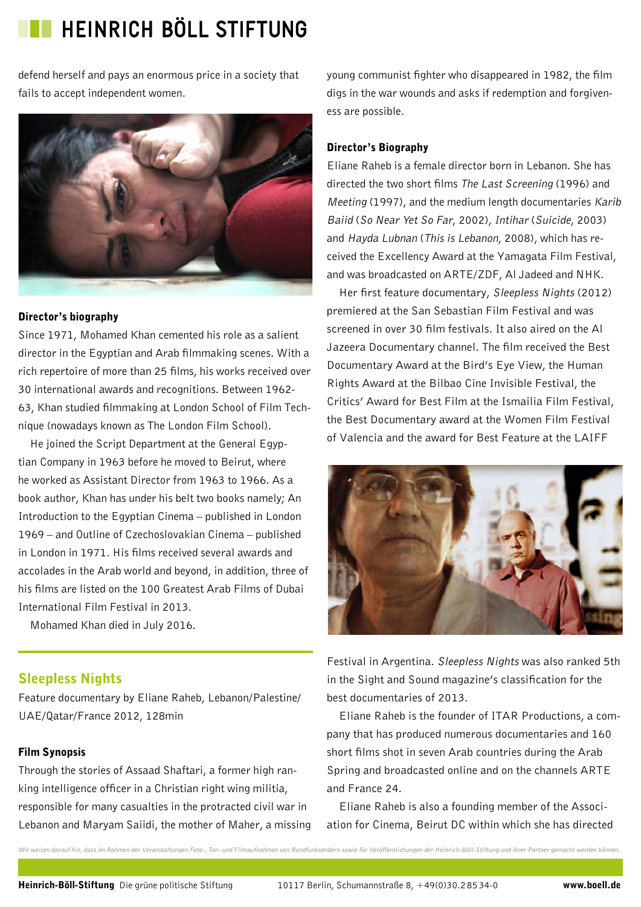defend herself and pays an enormous price in a society that fails to accept independent women.



#### Director's biography

Since 1971, Mohamed Khan cemented his role as a salient director in the Egyptian and Arab filmmaking scenes. With a rich repertoire of more than 25 films, his works received over 30 international awards and recognitions. Between 1962- 63, Khan studied filmmaking at London School of Film Technique (nowadays known as The London Film School).

He joined the Script Department at the General Egyptian Company in 1963 before he moved to Beirut, where he worked as Assistant Director from 1963 to 1966. As a book author, Khan has under his belt two books namely; An Introduction to the Egyptian Cinema – published in London 1969 – and Outline of Czechoslovakian Cinema – published in London in 1971. His films received several awards and accolades in the Arab world and beyond, in addition, three of his films are listed on the 100 Greatest Arab Films of Dubai International Film Festival in 2013.

Mohamed Khan died in July 2016.

## Sleepless Nights

Feature documentary by Eliane Raheb, Lebanon/Palestine/ UAE/Qatar/France 2012, 128min

### Film Synopsis

Through the stories of Assaad Shaftari, a former high ranking intelligence officer in a Christian right wing militia, responsible for many casualties in the protracted civil war in Lebanon and Maryam Saiidi, the mother of Maher, a missing young communist fighter who disappeared in 1982, the film digs in the war wounds and asks if redemption and forgiveness are possible.

#### Director's Biography

Eliane Raheb is a female director born in Lebanon. She has directed the two short films The Last Screening (1996) and Meeting (1997), and the medium length documentaries Karib Baiid (So Near Yet So Far, 2002), Intihar (Suicide, 2003) and Hayda Lubnan (This is Lebanon, 2008), which has received the Excellency Award at the Yamagata Film Festival, and was broadcasted on ARTE/ZDF, Al Jadeed and NHK.

Her first feature documentary, Sleepless Nights (2012) premiered at the San Sebastian Film Festival and was screened in over 30 film festivals. It also aired on the Al Jazeera Documentary channel. The film received the Best Documentary Award at the Bird's Eye View, the Human Rights Award at the Bilbao Cine Invisible Festival, the Critics' Award for Best Film at the Ismailia Film Festival, the Best Documentary award at the Women Film Festival of Valencia and the award for Best Feature at the LAIFF



Festival in Argentina. Sleepless Nights was also ranked 5th in the Sight and Sound magazine's classification for the best documentaries of 2013.

Eliane Raheb is the founder of ITAR Productions, a company that has produced numerous documentaries and 160 short films shot in seven Arab countries during the Arab Spring and broadcasted online and on the channels ARTE and France 24.

Eliane Raheb is also a founding member of the Association for Cinema, Beirut DC within which she has directed